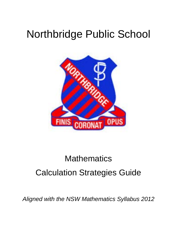# Northbridge Public School



# **Mathematics** Calculation Strategies Guide

*Aligned with the NSW Mathematics Syllabus 2012*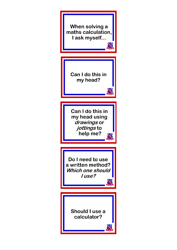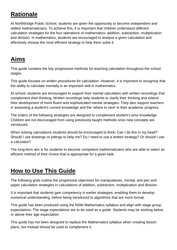### **Rationale**

At Northbridge Public School, students are given the opportunity to become independent and skilled mathematicians. To achieve this, it is important that children understand different calculation strategies for the four operations of mathematics: addition, subtraction, multiplication and division. In mathematics, students are encouraged to analyse a given calculation and effectively choose the most efficient strategy to help them solve it.

### **Aims**

This guide contains the key progressive methods for teaching calculation throughout the school stages.

This guide focuses on written procedures for calculation. However, it is important to recognise that the ability to calculate mentally is an important skill in mathematics.

At school, students are encouraged to support their mental calculation with written recordings that complement their thinking. Written recordings help students to clarify their thinking and extend their development of more fluent and sophisticated mental strategies. They also support teachers in assessing a student's current knowledge and the 'where to next' in their academic progress.

The orders of the following strategies are designed to complement student's prior knowledge. Children are not discouraged from using previously taught methods once new concepts are introduced.

When solving calculations students should be encouraged to think; Can I do this in my head? Should I use drawings or jottings to help me? Do I need to use a written strategy? Or should I use a calculator?

The long-term aim is for students to become competent mathematicians who are able to select an efficient method of their choice that is appropriate for a given task.

### **How to Use This Guide**

The following grids outline the progressive objectives for manipulatives, mental, and pen and paper calculation strategies in calculations of addition, subtraction, multiplication and division.

It is important that students gain competency in earlier strategies, enabling them to develop numerical understanding, before being introduced to algorithms that are more formal.

This guide has been produced using the NSW Mathematics syllabus and align with stage group expectations. The stage expectations are to be used as a guide. Students may be working below or above their age expectation.

This guide has not been designed to replace the Mathematics syllabus when creating lesson plans, but instead should be used to complement it.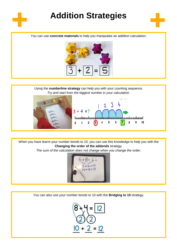

## **Addition Strategies**



You can use **concrete materials** to help you manipulate an addition calculation.



Using the **numberline strategy** can help you with your counting sequence. *Try and start from the biggest number in your calculation.*





When you have learnt your number bonds to 10, you can use this knowledge to help you with the **Changing the order of the addends** strategy.

*The sum of the calculation does not change when you change the order.*



You can also use your number bonds to 10 with the **Bridging to 10** strategy.

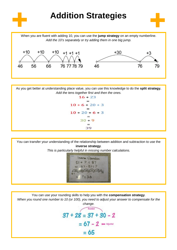

As you get better at understanding place value, you can use this knowledge to do the **split strategy.** *Add the tens together first and then the ones.*



You can transfer your understanding of the relationship between addition and subtraction to use the **inverse strategy**.

*This is particularly helpful in missing number calculations.*



You can use your rounding skills to help you with the **compensation strategy**. *When you round one number to 10 (or 100), you need to adjust your answer to compensate for the* 

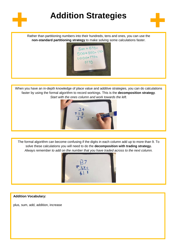

## **Addition Strategies**



Rather than partitioning numbers into their hundreds, tens and ones, you can use the **non-standard partitioning strategy** to make solving some calculations faster.



When you have an in-depth knowledge of place value and additive strategies, you can do calculations faster by using the formal algorithm to record workings. This is the **decomposition strategy**. *Start with the ones column and work towards the left.*



The formal algorithm can become confusing if the digits in each column add up to more than 9. To solve these calculations you will need to do the **decomposition with trading strategy.** *Always remember to add on the number that you have traded across to the next column.*



**Addition Vocabulary:**

plus, sum, add, addition, increase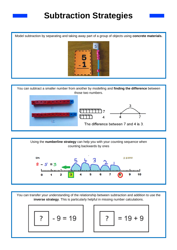### **Subtraction Strategies**

Model subtraction by separating and taking away part of a group of objects using **concrete materials.**







You can transfer your understanding of the relationship between subtraction and addition to use the **inverse strategy**. This is particularly helpful in missing number calculations.

$$
\boxed{?} - 9 = 19
$$

$$
\boxed{?} = 19 + 9
$$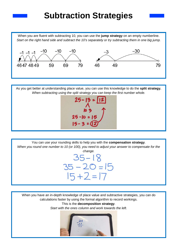### **Subtraction Strategies**

When you are fluent with subtracting 10, you can use the **jump strategy** on an empty numberline. *Start on the right hand side and subtract the 10's separately or try subtracting them in one big jump.*



As you get better at understanding place value, you can use this knowledge to do the **split strategy.** *When subtracting using the split strategy you can keep the first number whole.*



You can use your rounding skills to help you with the **compensation strategy**. *When you round one number to 10 (or 100), you need to adjust your answer to compensate for the change.*

 $35 - 18$ 

 $35 - 20 = 15$ 

 $15 + 2 = 17$ 

When you have an in-depth knowledge of place value and subtractive strategies, you can do calculations faster by using the formal algorithm to record workings.

This is the **decomposition strategy**.

*Start with the ones column and work towards the left.*

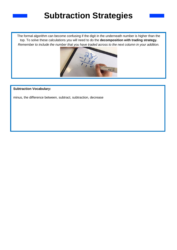### **Subtraction Strategies**

The formal algorithm can become confusing if the digit in the underneath number is higher than the top. To solve these calculations you will need to do the **decomposition with trading strategy.** *Remember to include the number that you have traded across to the next column in your addition.*



### **Subtraction Vocabulary:**

minus, the difference between, subtract, subtraction, decrease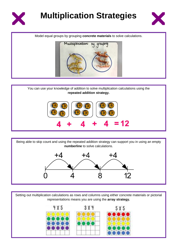



Model equal groups by grouping **concrete materials** to solve calculations.



You can use your knowledge of addition to solve multiplication calculations using the **repeated addition strategy.**



Being able to skip count and using the repeated addition strategy can support you in using an empty **numberline** to solve calculations.



Setting out multiplication calculations as rows and columns using either concrete materials or pictorial representations means you are using the **array strategy.**

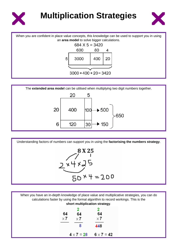



When you are confident in place value concepts, this knowledge can be used to support you in using an **area model** to solve bigger calculations. 684 X 5 = 3420 600 80 4 5 3000 400 20  $3000 + 400 + 20 = 3420$ 



Understanding factors of numbers can support you in using the **factorising the numbers strategy**.



When you have an in-depth knowledge of place value and multiplicative strategies, you can do calculations faster by using the formal algorithm to record workings. This is the **short multiplication strategy**.

|                  | 2                 | 2                 |
|------------------|-------------------|-------------------|
| 64<br>$\times 7$ | 64<br>$\times 7$  | 64<br>$\times 7$  |
|                  | 8                 | 448               |
|                  | 4 $\times$ 7 = 28 | $6 \times 7 = 42$ |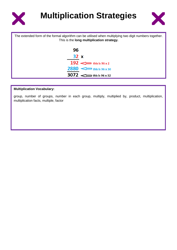



| The extended form of the formal algorithm can be utilised when multiplying two digit numbers together.<br>This is the long multiplication strategy. |  |  |
|-----------------------------------------------------------------------------------------------------------------------------------------------------|--|--|
| 96                                                                                                                                                  |  |  |
| 32x                                                                                                                                                 |  |  |
| 192 $\iff$ this is 96 x 2                                                                                                                           |  |  |
| $2880 \leq \implies$ this is 96 x 30                                                                                                                |  |  |
| $3072 \le$ this is 96 x 32                                                                                                                          |  |  |

#### **Multiplication Vocabulary:**

group, number of groups, number in each group, multiply, multiplied by, product, multiplication, multiplication facts, multiple, factor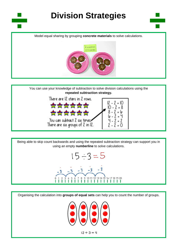

## **Division Strategies**



Model equal sharing by grouping **concrete materials** to solve calculations.



You can use your knowledge of subtraction to solve division calculations using the **repeated subtraction strategy.**



Being able to skip count backwards and using the repeated subtraction strategy can support you in using an empty **numberline** to solve calculations.



Organising the calculation into **groups of equal sets** can help you to count the number of groups.

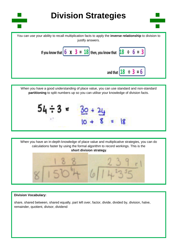

When you have a good understanding of place value, you can use standard and non-standard **partitioning** to split numbers up so you can utilise your knowledge of division facts.

| $-3$<br>54 | ٦ħ. |  |
|------------|-----|--|
| <b>ANT</b> | 97. |  |



#### **Division Vocabulary:**

share, shared between, shared equally, part left over, factor, divide, divided by, division, halve, remainder, quotient, divisor, dividend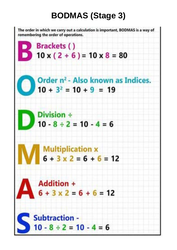# **BODMAS (Stage 3)**